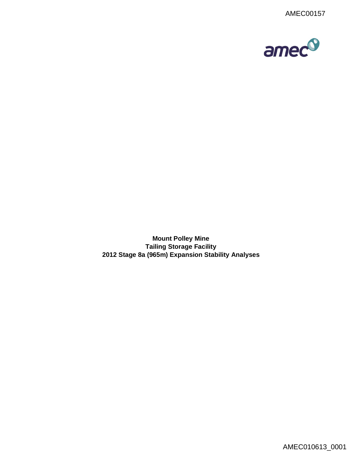

**Mount Polley Mine Tailing Storage Facility 2012 Stage 8a (965m) Expansion Stability Analyses**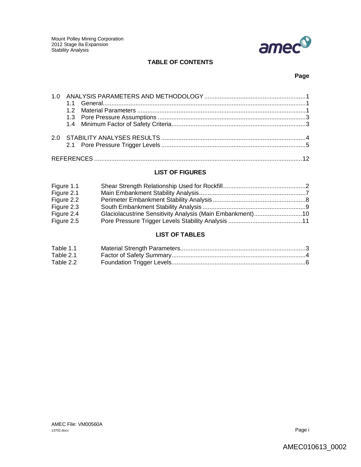

## **TABLE OF CONTENTS**

## **Page**

## **LIST OF FIGURES**

| Figure 1.1 |                                                           |  |
|------------|-----------------------------------------------------------|--|
| Figure 2.1 |                                                           |  |
| Figure 2.2 |                                                           |  |
| Figure 2.3 |                                                           |  |
| Figure 2.4 | Glaciolacustrine Sensitivity Analysis (Main Embankment)10 |  |
| Figure 2.5 |                                                           |  |

## **LIST OF TABLES**

| Table 1.1 |  |
|-----------|--|
| Table 2.1 |  |
| Table 2.2 |  |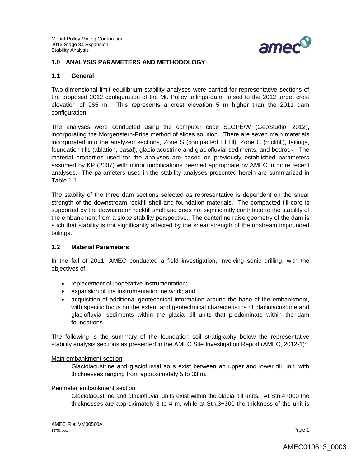

#### **1.0 ANALYSIS PARAMETERS AND METHODOLOGY**

#### **1.1 General**

Two-dimensional limit equilibrium stability analyses were carried for representative sections of the proposed 2012 configuration of the Mt. Polley tailings dam, raised to the 2012 target crest elevation of 965 m. This represents a crest elevation 5 m higher than the 2011 dam configuration.

The analyses were conducted using the computer code SLOPE/W (GeoStudio, 2012), incorporating the Morgenstern-Price method of slices solution. There are seven main materials incorporated into the analyzed sections, Zone S (compacted till fill), Zone C (rockfill), tailings, foundation tills (ablation, basal), glaciolacustrine and glaciofluvial sediments, and bedrock. The material properties used for the analyses are based on previously established parameters assumed by KP (2007) with minor modifications deemed appropriate by AMEC in more recent analyses. The parameters used in the stability analyses presented herein are summarized in Table 1.1.

The stability of the three dam sections selected as representative is dependent on the shear strength of the downstream rockfill shell and foundation materials. The compacted till core is supported by the downstream rockfill shell and does not significantly contribute to the stability of the embankment from a slope stability perspective. The centerline raise geometry of the dam is such that stability is not significantly affected by the shear strength of the upstream impounded tailings.

#### **1.2 Material Parameters**

In the fall of 2011, AMEC conducted a field investigation, involving sonic drilling, with the objectives of:

- replacement of inoperative instrumentation;
- expansion of the instrumentation network; and
- acquisition of additional geotechnical information around the base of the embankment, with specific focus on the extent and geotechnical characteristics of glaciolacustrine and glaciofluvial sediments within the glacial till units that predominate within the dam foundations.

The following is the summary of the foundation soil stratigraphy below the representative stability analysis sections as presented in the AMEC Site Investigation Report (AMEC, 2012-1):

#### Main embankment section

Glaciolacustrine and glaciofluvial soils exist between an upper and lower till unit, with thicknesses ranging from approximately 5 to 33 m.

#### Perimeter embankment section

Glaciolacustrine and glaciofluvial units exist within the glacial till units. At Stn.4+000 the thicknesses are approximately 3 to 4 m, while at Stn.3+300 the thickness of the unit is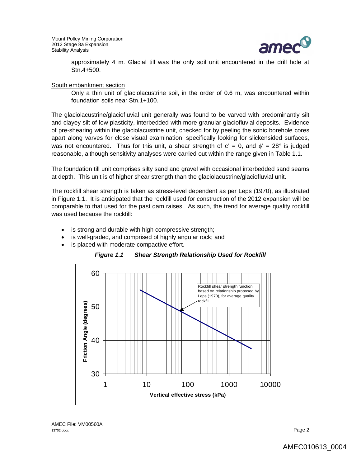

approximately 4 m. Glacial till was the only soil unit encountered in the drill hole at Stn.4+500.

#### South embankment section

Only a thin unit of glaciolacustrine soil, in the order of 0.6 m, was encountered within foundation soils near Stn.1+100.

The glaciolacustrine/glaciofluvial unit generally was found to be varved with predominantly silt and clayey silt of low plasticity, interbedded with more granular glaciofluvial deposits. Evidence of pre-shearing within the glaciolacustrine unit, checked for by peeling the sonic borehole cores apart along varves for close visual examination, specifically looking for slickensided surfaces, was not encountered. Thus for this unit, a shear strength of  $c' = 0$ , and  $\phi' = 28^\circ$  is judged reasonable, although sensitivity analyses were carried out within the range given in Table 1.1.

The foundation till unit comprises silty sand and gravel with occasional interbedded sand seams at depth. This unit is of higher shear strength than the glaciolacustrine/glaciofluvial unit.

The rockfill shear strength is taken as stress-level dependent as per Leps (1970), as illustrated in Figure 1.1. It is anticipated that the rockfill used for construction of the 2012 expansion will be comparable to that used for the past dam raises. As such, the trend for average quality rockfill was used because the rockfill:

- is strong and durable with high compressive strength;
- is well-graded, and comprised of highly angular rock; and
- is placed with moderate compactive effort.

*Figure 1.1 Shear Strength Relationship Used for Rockfill*

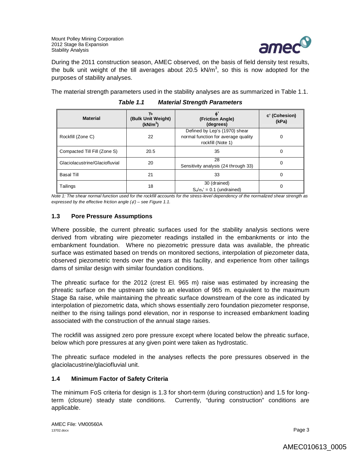

During the 2011 construction season, AMEC observed, on the basis of field density test results, the bulk unit weight of the till averages about 20.5  $kN/m<sup>3</sup>$ , so this is now adopted for the purposes of stability analyses.

The material strength parameters used in the stability analyses are as summarized in Table 1.1.

| <b>Material</b>                | Yb<br>(Bulk Unit Weight)<br>(kN/m <sup>3</sup> ) | $\phi$<br>(Friction Angle)<br>(degrees)                                                   | c' (Cohesion)<br>(kPa) |
|--------------------------------|--------------------------------------------------|-------------------------------------------------------------------------------------------|------------------------|
| Rockfill (Zone C)              | 22                                               | Defined by Lep's (1970) shear<br>normal function for average quality<br>rockfill (Note 1) | 0                      |
| Compacted Till Fill (Zone S)   | 20.5                                             | 35                                                                                        | 0                      |
| Glaciolacustrine/Glaciofluvial | 20                                               | 28<br>Sensitivity analysis (24 through 33)                                                | 0                      |
| <b>Basal Till</b>              | 21                                               | 33                                                                                        | 0                      |
| Tailings                       | 18                                               | 30 (drained)<br>$S_u/\sigma_v' = 0.1$ (undrained)                                         | 0                      |

*Table 1.1 Material Strength Parameters*

*Note 1: The shear normal function used for the rockfill accounts for the stress-level dependency of the normalized shear strength as expressed by the effective friction angle (') – see Figure 1.1.* 

## **1.3 Pore Pressure Assumptions**

Where possible, the current phreatic surfaces used for the stability analysis sections were derived from vibrating wire piezometer readings installed in the embankments or into the embankment foundation. Where no piezometric pressure data was available, the phreatic surface was estimated based on trends on monitored sections, interpolation of piezometer data, observed piezometric trends over the years at this facility, and experience from other tailings dams of similar design with similar foundation conditions.

The phreatic surface for the 2012 (crest El. 965 m) raise was estimated by increasing the phreatic surface on the upstream side to an elevation of 965 m. equivalent to the maximum Stage 8a raise, while maintaining the phreatic surface downstream of the core as indicated by interpolation of piezometric data, which shows essentially zero foundation piezometer response, neither to the rising tailings pond elevation, nor in response to increased embankment loading associated with the construction of the annual stage raises.

The rockfill was assigned zero pore pressure except where located below the phreatic surface, below which pore pressures at any given point were taken as hydrostatic.

The phreatic surface modeled in the analyses reflects the pore pressures observed in the glaciolacustrine/glaciofluvial unit.

## **1.4 Minimum Factor of Safety Criteria**

The minimum FoS criteria for design is 1.3 for short-term (during construction) and 1.5 for longterm (closure) steady state conditions. Currently, "during construction" conditions are applicable.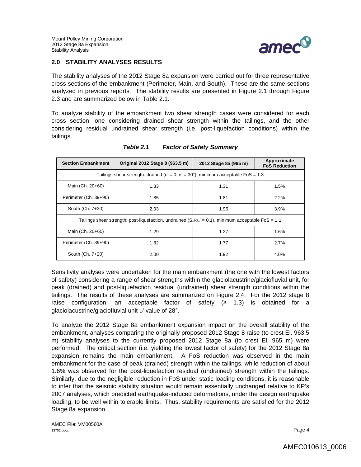

## **2.0 STABILITY ANALYSES RESULTS**

The stability analyses of the 2012 Stage 8a expansion were carried out for three representative cross sections of the embankment (Perimeter, Main, and South). These are the same sections analyzed in previous reports. The stability results are presented in Figure 2.1 through Figure 2.3 and are summarized below in Table 2.1.

To analyze stability of the embankment two shear strength cases were considered for each cross section: one considering drained shear strength within the tailings, and the other considering residual undrained shear strength (i.e. post-liquefaction conditions) within the tailings.

| <b>Section Embankment</b>                                                                                   | Original 2012 Stage 8 (963.5 m) | 2012 Stage 8a (965 m) | Approximate<br><b>FoS Reduction</b> |
|-------------------------------------------------------------------------------------------------------------|---------------------------------|-----------------------|-------------------------------------|
| Tailings shear strength: drained (c' = 0, $\phi$ ' = 30°), minimum acceptable FoS = 1.3                     |                                 |                       |                                     |
| Main (Ch. 20+60)                                                                                            | 1.33                            | 1.31                  | 1.5%                                |
| Perimeter (Ch. 39+90)                                                                                       | 1.85                            | 1.81                  | 2.2%                                |
| South (Ch. 7+20)                                                                                            | 2.03                            | 1.95                  | 3.9%                                |
| Tailings shear strength: post-liquefaction, undrained $(S_v/\sigma_v = 0.1)$ , minimum acceptable FoS = 1.1 |                                 |                       |                                     |
| Main (Ch. 20+60)                                                                                            | 1.29                            | 1.27                  | 1.6%                                |
| Perimeter (Ch. 39+90)                                                                                       | 1.82                            | 1.77                  | 2.7%                                |
| South (Ch. 7+20)                                                                                            | 2.00                            | 1.92                  | 4.0%                                |

## *Table 2.1 Factor of Safety Summary*

Sensitivity analyses were undertaken for the main embankment (the one with the lowest factors of safety) considering a range of shear strengths within the glaciolacustrine/glaciofluvial unit, for peak (drained) and post-liquefaction residual (undrained) shear strength conditions within the tailings. The results of these analyses are summarized on Figure 2.4. For the 2012 stage 8 raise configuration, an acceptable factor of safety  $(≥ 1.3)$  is obtained for a glaciolacustrine/glaciofluvial unit  $\phi'$  value of 28°.

To analyze the 2012 Stage 8a embankment expansion impact on the overall stability of the embankment, analyses comparing the originally proposed 2012 Stage 8 raise (to crest El. 963.5 m) stability analyses to the currently proposed 2012 Stage 8a (to crest El. 965 m) were performed. The critical section (i.e. yielding the lowest factor of safety) for the 2012 Stage 8a expansion remains the main embankment. A FoS reduction was observed in the main embankment for the case of peak (drained) strength within the tailings, while reduction of about 1.6% was observed for the post-liquefaction residual (undrained) strength within the tailings. Similarly, due to the negligible reduction in FoS under static loading conditions, it is reasonable to infer that the seismic stability situation would remain essentially unchanged relative to KP's 2007 analyses, which predicted earthquake-induced deformations, under the design earthquake loading, to be well within tolerable limits. Thus, stability requirements are satisfied for the 2012 Stage 8a expansion.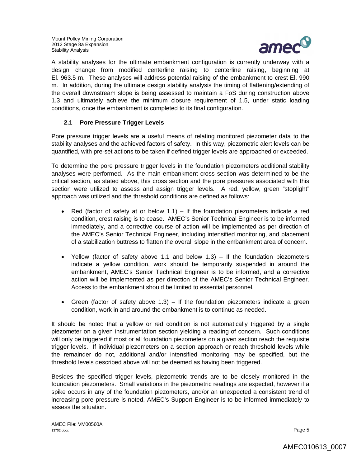

A stability analyses for the ultimate embankment configuration is currently underway with a design change from modified centerline raising to centerline raising, beginning at El. 963.5 m. These analyses will address potential raising of the embankment to crest El. 990 m. In addition, during the ultimate design stability analysis the timing of flattening/extending of the overall downstream slope is being assessed to maintain a FoS during construction above 1.3 and ultimately achieve the minimum closure requirement of 1.5, under static loading conditions, once the embankment is completed to its final configuration.

## **2.1 Pore Pressure Trigger Levels**

Pore pressure trigger levels are a useful means of relating monitored piezometer data to the stability analyses and the achieved factors of safety. In this way, piezometric alert levels can be quantified, with pre-set actions to be taken if defined trigger levels are approached or exceeded.

To determine the pore pressure trigger levels in the foundation piezometers additional stability analyses were performed. As the main embankment cross section was determined to be the critical section, as stated above, this cross section and the pore pressures associated with this section were utilized to assess and assign trigger levels. A red, yellow, green "stoplight" approach was utilized and the threshold conditions are defined as follows:

- Red (factor of safety at or below 1.1) If the foundation piezometers indicate a red condition, crest raising is to cease. AMEC's Senior Technical Engineer is to be informed immediately, and a corrective course of action will be implemented as per direction of the AMEC's Senior Technical Engineer, including intensified monitoring, and placement of a stabilization buttress to flatten the overall slope in the embankment area of concern.
- Yellow (factor of safety above 1.1 and below 1.3) If the foundation piezometers indicate a yellow condition, work should be temporarily suspended in around the embankment, AMEC's Senior Technical Engineer is to be informed, and a corrective action will be implemented as per direction of the AMEC's Senior Technical Engineer. Access to the embankment should be limited to essential personnel.
- Green (factor of safety above  $1.3$ ) If the foundation piezometers indicate a green condition, work in and around the embankment is to continue as needed.

It should be noted that a yellow or red condition is not automatically triggered by a single piezometer on a given instrumentation section yielding a reading of concern. Such conditions will only be triggered if most or all foundation piezometers on a given section reach the requisite trigger levels. If individual piezometers on a section approach or reach threshold levels while the remainder do not, additional and/or intensified monitoring may be specified, but the threshold levels described above will not be deemed as having been triggered.

Besides the specified trigger levels, piezometric trends are to be closely monitored in the foundation piezometers. Small variations in the piezometric readings are expected, however if a spike occurs in any of the foundation piezometers, and/or an unexpected a consistent trend of increasing pore pressure is noted, AMEC's Support Engineer is to be informed immediately to assess the situation.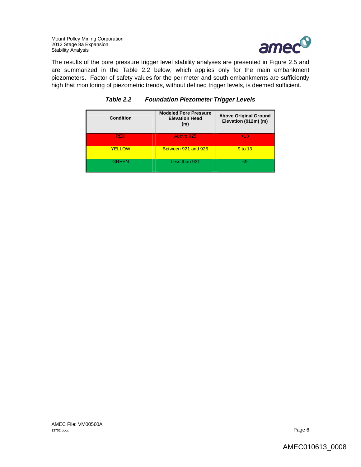

The results of the pore pressure trigger level stability analyses are presented in Figure 2.5 and are summarized in the Table 2.2 below, which applies only for the main embankment piezometers. Factor of safety values for the perimeter and south embankments are sufficiently high that monitoring of piezometric trends, without defined trigger levels, is deemed sufficient.

| Condition     | <b>Modeled Pore Pressure</b><br><b>Elevation Head</b><br>(m) | <b>Above Original Ground</b><br>Elevation (912m) (m) |
|---------------|--------------------------------------------------------------|------------------------------------------------------|
| <b>RFD</b>    | Above 925                                                    | >13                                                  |
| <b>YELLOW</b> | Between 921 and 925                                          | 9 to 13                                              |
| <b>GREEN</b>  | Less than 921                                                |                                                      |

## *Table 2.2 Foundation Piezometer Trigger Levels*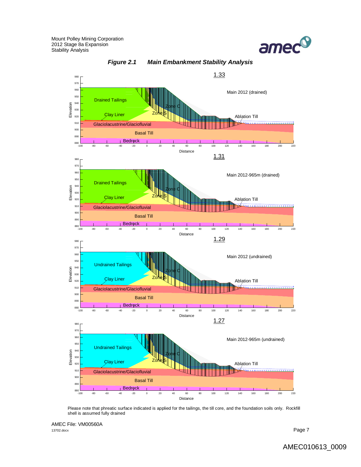



*Figure 2.1 Main Embankment Stability Analysis*

Please note that phreatic surface indicated is applied for the tailings, the till core, and the foundation soils only. Rockfill shell is assumed fully drained

AMEC File: VM00560A 13702.docx Page 7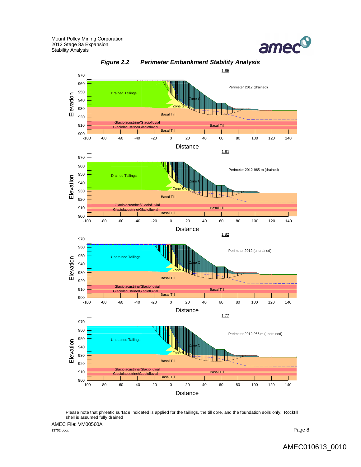



Please note that phreatic surface indicated is applied for the tailings, the till core, and the foundation soils only. Rockfill shell is assumed fully drained

AMEC File: VM00560A 13702.docx Page 8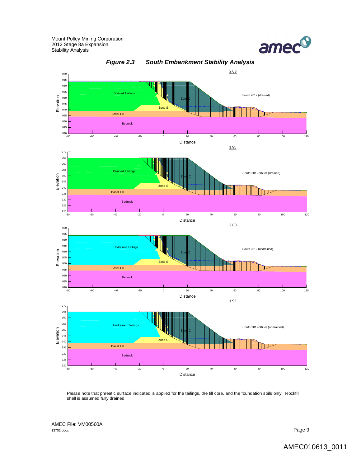



*Figure 2.3 South Embankment Stability Analysis*

Please note that phreatic surface indicated is applied for the tailings, the till core, and the foundation soils only. Rockfill shell is assumed fully drained

AMEC File: VM00560A 13702.docx Page 9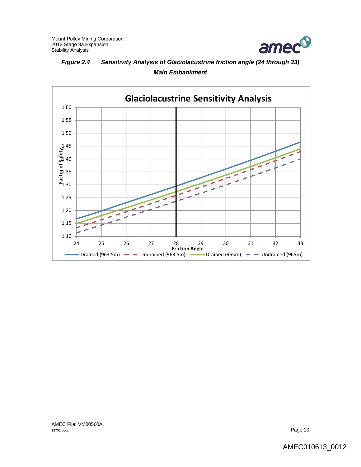

# *Figure 2.4 Sensitivity Analysis of Glaciolacustrine friction angle (24 through 33) Main Embankment*

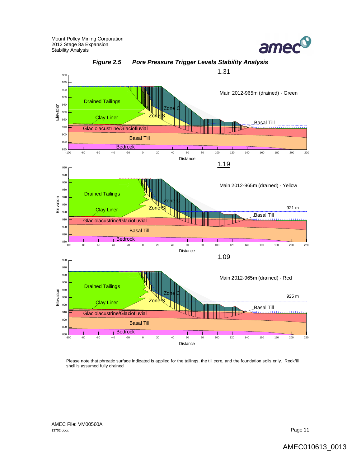



*Figure 2.5 Pore Pressure Trigger Levels Stability Analysis*

Please note that phreatic surface indicated is applied for the tailings, the till core, and the foundation soils only. Rockfill shell is assumed fully drained

AMEC File: VM00560A<br>13702.docx 13702.docx **Page 11**